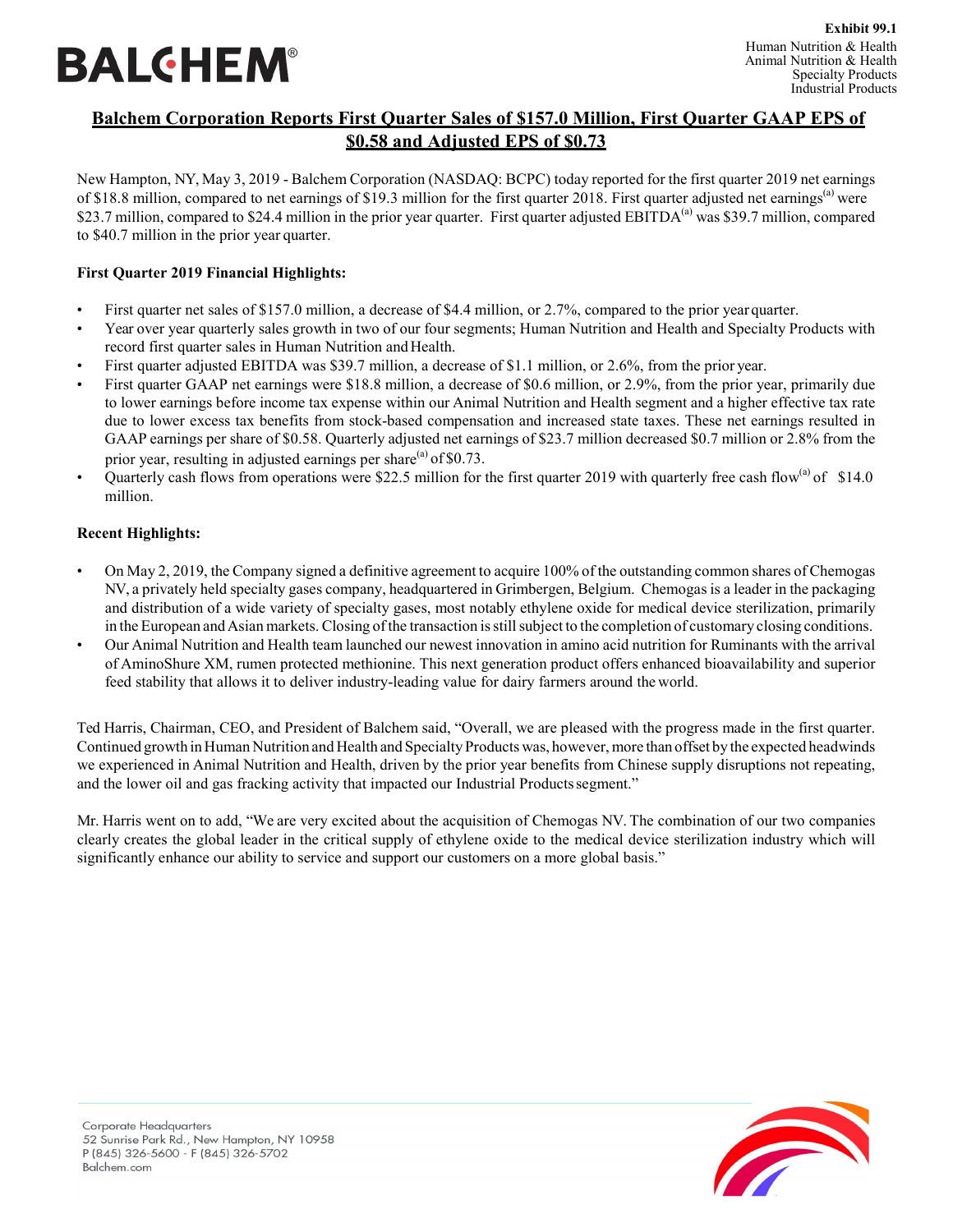# **BALGHEM®**

# **Balchem Corporation Reports First Quarter Sales of \$157.0 Million, First Quarter GAAP EPS of \$0.58 and Adjusted EPS of \$0.73**

New Hampton, NY, May 3, 2019 - Balchem Corporation (NASDAQ: BCPC) today reported for the first quarter 2019 net earnings of \$18.8 million, compared to net earnings of \$19.3 million for the first quarter 2018. First quarter adjusted net earnings<sup>(a)</sup> were \$23.7 million, compared to \$24.4 million in the prior year quarter. First quarter adjusted EBITDA<sup>(a)</sup> was \$39.7 million, compared to \$40.7 million in the prior year quarter.

# **First Quarter 2019 Financial Highlights:**

- First quarter net sales of \$157.0 million, a decrease of \$4.4 million, or 2.7%, compared to the prior year quarter.
- Year over year quarterly sales growth in two of our four segments; Human Nutrition and Health and Specialty Products with record first quarter sales in Human Nutrition and Health.
- First quarter adjusted EBITDA was \$39.7 million, a decrease of \$1.1 million, or 2.6%, from the prior year.
- First quarter GAAP net earnings were \$18.8 million, a decrease of \$0.6 million, or 2.9%, from the prior year, primarily due to lower earnings before income tax expense within our Animal Nutrition and Health segment and a higher effective tax rate due to lower excess tax benefits from stock-based compensation and increased state taxes. These net earnings resulted in GAAP earnings per share of \$0.58. Quarterly adjusted net earnings of \$23.7 million decreased \$0.7 million or 2.8% from the prior year, resulting in adjusted earnings per share $^{(a)}$  of \$0.73.
- Quarterly cash flows from operations were \$22.5 million for the first quarter 2019 with quarterly free cash flow<sup>(a)</sup> of \$14.0 million.

# **Recent Highlights:**

- On May 2, 2019, the Company signed a definitive agreement to acquire 100% of the outstanding common shares of Chemogas NV, a privately held specialty gases company, headquartered in Grimbergen, Belgium. Chemogas is a leader in the packaging and distribution of a wide variety of specialty gases, most notably ethylene oxide for medical device sterilization, primarily in the European and Asian markets. Closing of the transaction is still subject to the completion of customary closing conditions.
- Our Animal Nutrition and Health team launched our newest innovation in amino acid nutrition for Ruminants with the arrival of AminoShure XM, rumen protected methionine. This next generation product offers enhanced bioavailability and superior feed stability that allows it to deliver industry-leading value for dairy farmers around the world.

Ted Harris, Chairman, CEO, and President of Balchem said, "Overall, we are pleased with the progress made in the first quarter. Continued growth in Human Nutrition and Health and Specialty Products was, however, more than offset by the expected headwinds we experienced in Animal Nutrition and Health, driven by the prior year benefits from Chinese supply disruptions not repeating, and the lower oil and gas fracking activity that impacted our Industrial Productssegment."

Mr. Harris went on to add, "We are very excited about the acquisition of Chemogas NV. The combination of our two companies clearly creates the global leader in the critical supply of ethylene oxide to the medical device sterilization industry which will significantly enhance our ability to service and support our customers on a more global basis."

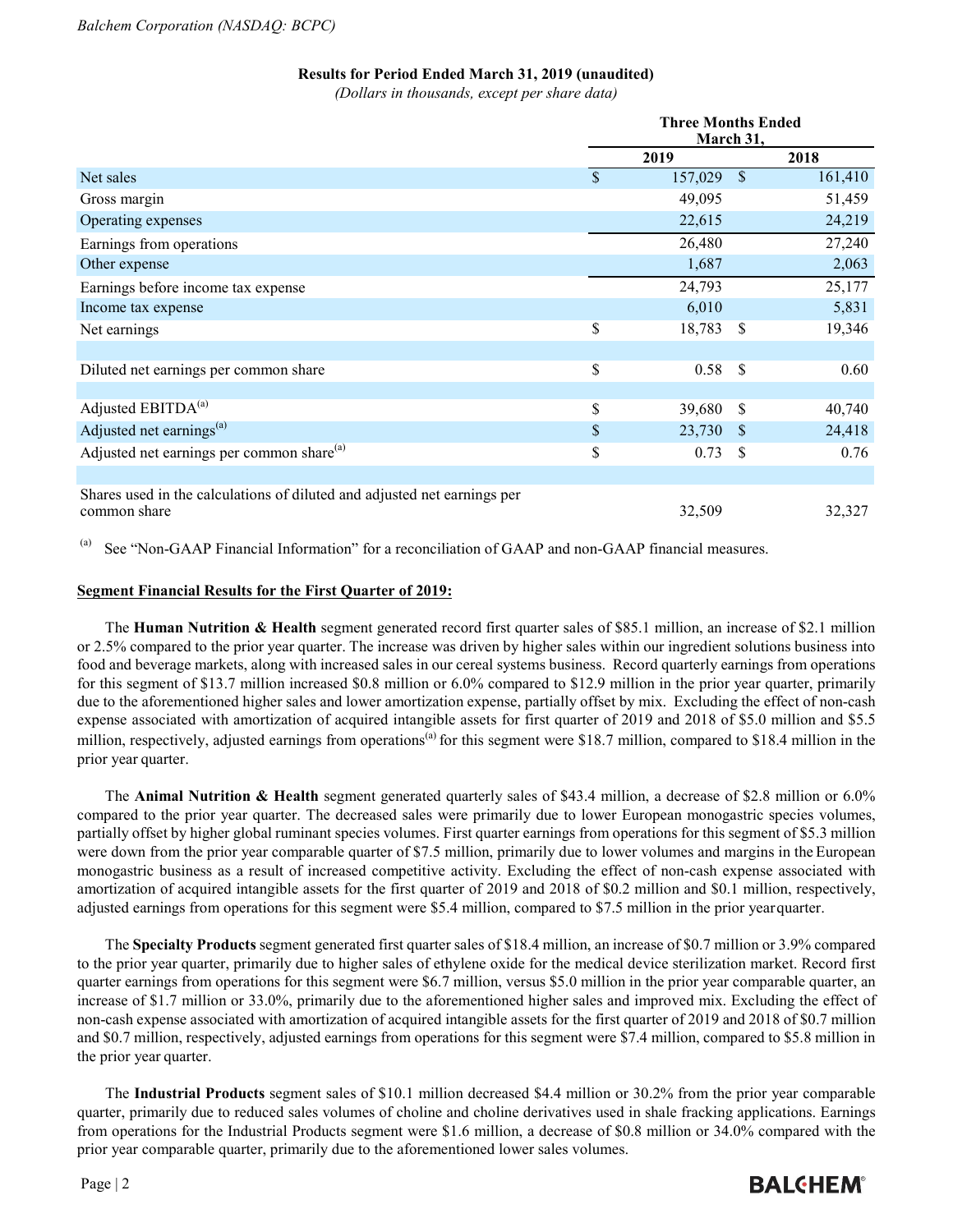#### **Results for Period Ended March 31, 2019 (unaudited)**

*(Dollars in thousands, except per share data)*

|                                                                                          | <b>Three Months Ended</b><br>March 31, |         |                           |         |
|------------------------------------------------------------------------------------------|----------------------------------------|---------|---------------------------|---------|
|                                                                                          |                                        | 2019    |                           | 2018    |
| Net sales                                                                                | $\mathbf{\$}$                          | 157,029 | $\boldsymbol{\mathsf{S}}$ | 161,410 |
| Gross margin                                                                             |                                        | 49,095  |                           | 51,459  |
| Operating expenses                                                                       |                                        | 22,615  |                           | 24,219  |
| Earnings from operations                                                                 |                                        | 26,480  |                           | 27,240  |
| Other expense                                                                            |                                        | 1,687   |                           | 2,063   |
| Earnings before income tax expense                                                       |                                        | 24,793  |                           | 25,177  |
| Income tax expense                                                                       |                                        | 6,010   |                           | 5,831   |
| Net earnings                                                                             | \$                                     | 18,783  | \$.                       | 19,346  |
|                                                                                          |                                        |         |                           |         |
| Diluted net earnings per common share                                                    | \$                                     | 0.58    | <sup>\$</sup>             | 0.60    |
|                                                                                          |                                        |         |                           |         |
| Adjusted EBITDA <sup>(a)</sup>                                                           | \$                                     | 39,680  | S                         | 40,740  |
| Adjusted net earnings <sup>(a)</sup>                                                     | \$                                     | 23,730  | <sup>S</sup>              | 24,418  |
| Adjusted net earnings per common share <sup>(a)</sup>                                    | \$                                     | 0.73    | <sup>S</sup>              | 0.76    |
|                                                                                          |                                        |         |                           |         |
| Shares used in the calculations of diluted and adjusted net earnings per<br>common share |                                        | 32,509  |                           | 32,327  |

<sup>(a)</sup> See "Non-GAAP Financial Information" for a reconciliation of GAAP and non-GAAP financial measures.

#### **Segment Financial Results for the First Quarter of 2019:**

The **Human Nutrition & Health** segment generated record first quarter sales of \$85.1 million, an increase of \$2.1 million or 2.5% compared to the prior year quarter. The increase was driven by higher sales within our ingredient solutions business into food and beverage markets, along with increased sales in our cereal systems business. Record quarterly earnings from operations for this segment of \$13.7 million increased \$0.8 million or 6.0% compared to \$12.9 million in the prior year quarter, primarily due to the aforementioned higher sales and lower amortization expense, partially offset by mix. Excluding the effect of non-cash expense associated with amortization of acquired intangible assets for first quarter of 2019 and 2018 of \$5.0 million and \$5.5 million, respectively, adjusted earnings from operations<sup>(a)</sup> for this segment were \$18.7 million, compared to \$18.4 million in the prior year quarter.

The **Animal Nutrition & Health** segment generated quarterly sales of \$43.4 million, a decrease of \$2.8 million or 6.0% compared to the prior year quarter. The decreased sales were primarily due to lower European monogastric species volumes, partially offset by higher global ruminant species volumes. First quarter earnings from operations for this segment of \$5.3 million were down from the prior year comparable quarter of \$7.5 million, primarily due to lower volumes and margins in the European monogastric business as a result of increased competitive activity. Excluding the effect of non-cash expense associated with amortization of acquired intangible assets for the first quarter of 2019 and 2018 of \$0.2 million and \$0.1 million, respectively, adjusted earnings from operations for this segment were \$5.4 million, compared to \$7.5 million in the prior yearquarter.

The **Specialty Products** segment generated first quarter sales of \$18.4 million, an increase of \$0.7 million or 3.9% compared to the prior year quarter, primarily due to higher sales of ethylene oxide for the medical device sterilization market. Record first quarter earnings from operations for this segment were \$6.7 million, versus \$5.0 million in the prior year comparable quarter, an increase of \$1.7 million or 33.0%, primarily due to the aforementioned higher sales and improved mix. Excluding the effect of non-cash expense associated with amortization of acquired intangible assets for the first quarter of 2019 and 2018 of \$0.7 million and \$0.7 million, respectively, adjusted earnings from operations for this segment were \$7.4 million, compared to \$5.8 million in the prior year quarter.

The **Industrial Products** segment sales of \$10.1 million decreased \$4.4 million or 30.2% from the prior year comparable quarter, primarily due to reduced sales volumes of choline and choline derivatives used in shale fracking applications. Earnings from operations for the Industrial Products segment were \$1.6 million, a decrease of \$0.8 million or 34.0% compared with the prior year comparable quarter, primarily due to the aforementioned lower sales volumes.

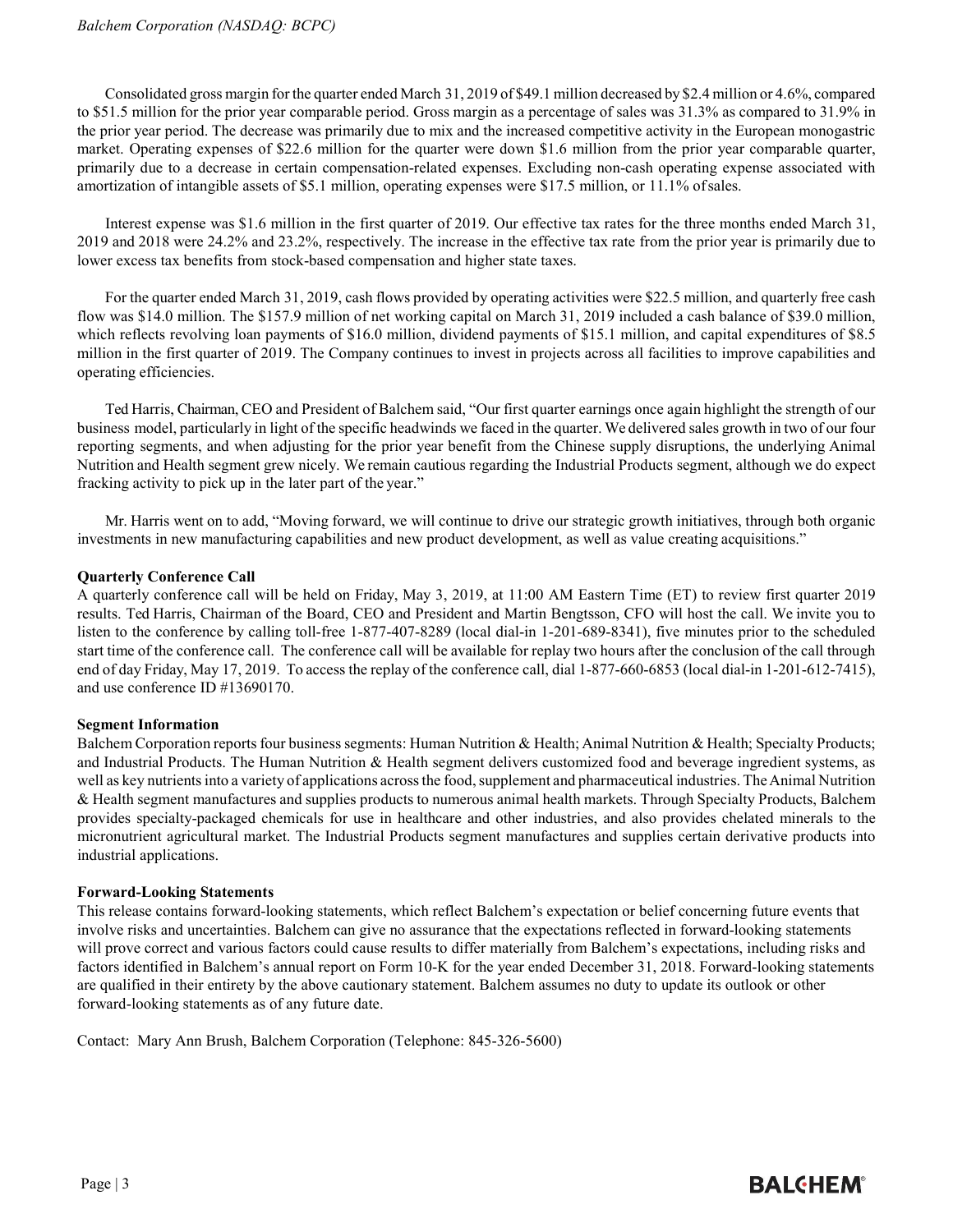Consolidated gross margin for the quarter ended March 31, 2019 of \$49.1 million decreased by \$2.4 million or 4.6%, compared to \$51.5 million for the prior year comparable period. Gross margin as a percentage of sales was 31.3% as compared to 31.9% in the prior year period. The decrease was primarily due to mix and the increased competitive activity in the European monogastric market. Operating expenses of \$22.6 million for the quarter were down \$1.6 million from the prior year comparable quarter, primarily due to a decrease in certain compensation-related expenses. Excluding non-cash operating expense associated with amortization of intangible assets of \$5.1 million, operating expenses were \$17.5 million, or 11.1% ofsales.

Interest expense was \$1.6 million in the first quarter of 2019. Our effective tax rates for the three months ended March 31, 2019 and 2018 were 24.2% and 23.2%, respectively. The increase in the effective tax rate from the prior year is primarily due to lower excess tax benefits from stock-based compensation and higher state taxes.

For the quarter ended March 31, 2019, cash flows provided by operating activities were \$22.5 million, and quarterly free cash flow was \$14.0 million. The \$157.9 million of net working capital on March 31, 2019 included a cash balance of \$39.0 million, which reflects revolving loan payments of \$16.0 million, dividend payments of \$15.1 million, and capital expenditures of \$8.5 million in the first quarter of 2019. The Company continues to invest in projects across all facilities to improve capabilities and operating efficiencies.

Ted Harris, Chairman, CEO and President of Balchem said, "Our first quarter earnings once again highlight the strength of our business model, particularly in light of the specific headwinds we faced in the quarter. We delivered sales growth in two of our four reporting segments, and when adjusting for the prior year benefit from the Chinese supply disruptions, the underlying Animal Nutrition and Health segment grew nicely. We remain cautious regarding the Industrial Products segment, although we do expect fracking activity to pick up in the later part of the year."

Mr. Harris went on to add, "Moving forward, we will continue to drive our strategic growth initiatives, through both organic investments in new manufacturing capabilities and new product development, as well as value creating acquisitions."

#### **Quarterly Conference Call**

A quarterly conference call will be held on Friday, May 3, 2019, at 11:00 AM Eastern Time (ET) to review first quarter 2019 results. Ted Harris, Chairman of the Board, CEO and President and Martin Bengtsson, CFO will host the call. We invite you to listen to the conference by calling toll-free 1-877-407-8289 (local dial-in 1-201-689-8341), five minutes prior to the scheduled start time of the conference call. The conference call will be available for replay two hours after the conclusion of the call through end of day Friday, May 17, 2019. To access the replay of the conference call, dial 1-877-660-6853 (local dial-in 1-201-612-7415), and use conference ID #13690170.

#### **Segment Information**

Balchem Corporation reports four business segments: Human Nutrition & Health; Animal Nutrition & Health; Specialty Products; and Industrial Products. The Human Nutrition & Health segment delivers customized food and beverage ingredient systems, as well as key nutrients into a variety of applications across the food, supplement and pharmaceutical industries. The Animal Nutrition & Health segment manufactures and supplies products to numerous animal health markets. Through Specialty Products, Balchem provides specialty-packaged chemicals for use in healthcare and other industries, and also provides chelated minerals to the micronutrient agricultural market. The Industrial Products segment manufactures and supplies certain derivative products into industrial applications.

#### **Forward-Looking Statements**

This release contains forward-looking statements, which reflect Balchem's expectation or belief concerning future events that involve risks and uncertainties. Balchem can give no assurance that the expectations reflected in forward-looking statements will prove correct and various factors could cause results to differ materially from Balchem's expectations, including risks and factors identified in Balchem's annual report on Form 10-K for the year ended December 31, 2018. Forward-looking statements are qualified in their entirety by the above cautionary statement. Balchem assumes no duty to update its outlook or other forward-looking statements as of any future date.

Contact: Mary Ann Brush, Balchem Corporation (Telephone: 845-326-5600)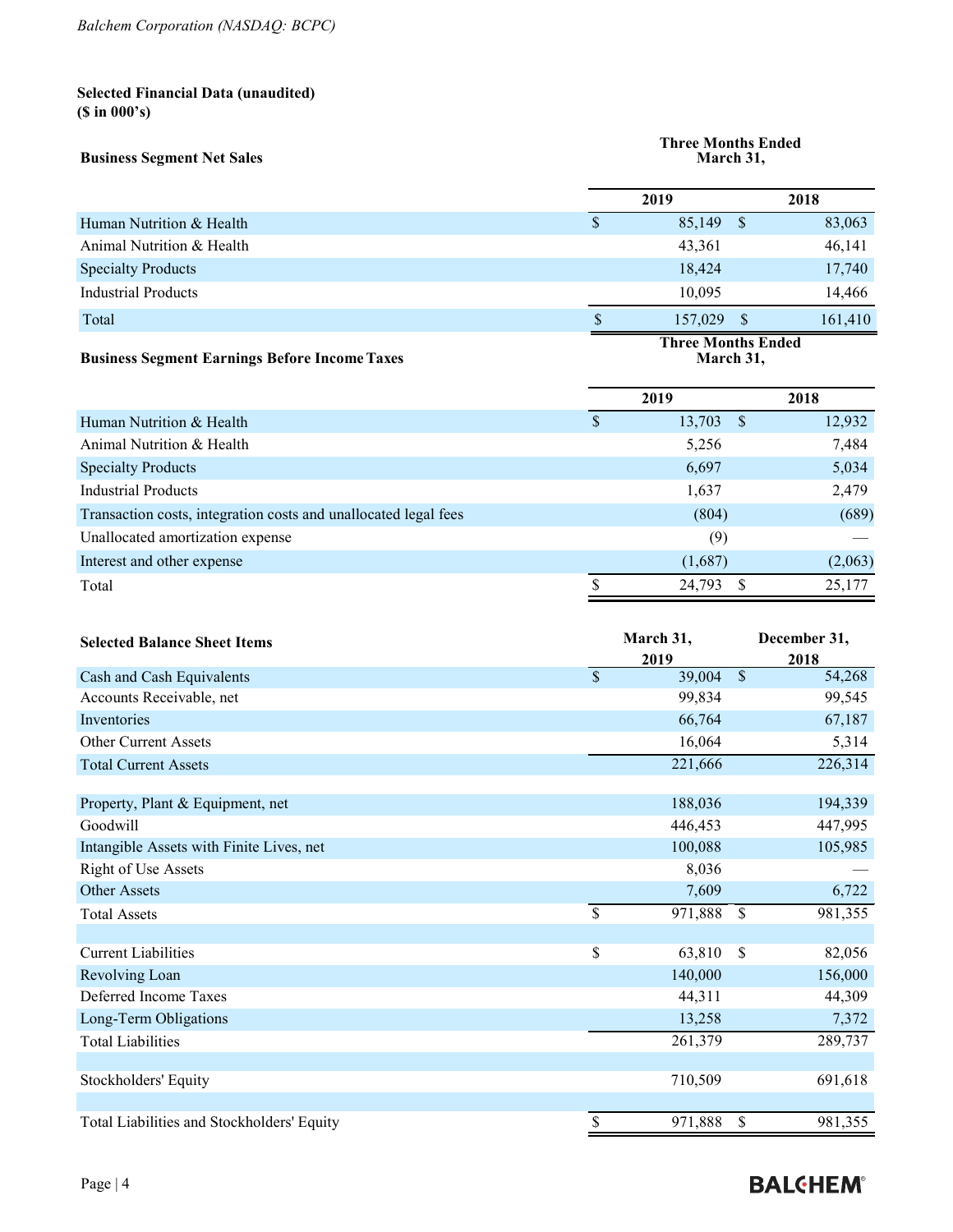# **Selected Financial Data (unaudited) (\$ in 000's)**

| <b>Business Segment Net Sales</b>                    |   | <b>Three Months Ended</b><br>March 31, |    |         |  |  |
|------------------------------------------------------|---|----------------------------------------|----|---------|--|--|
|                                                      |   | 2019                                   |    | 2018    |  |  |
| Human Nutrition & Health                             | S | 85,149                                 | -S | 83,063  |  |  |
| Animal Nutrition & Health                            |   | 43,361                                 |    | 46,141  |  |  |
| <b>Specialty Products</b>                            |   | 18,424                                 |    | 17,740  |  |  |
| Industrial Products                                  |   | 10.095                                 |    | 14,466  |  |  |
| Total                                                |   | 157,029                                | -S | 161,410 |  |  |
| <b>Business Segment Earnings Before Income Taxes</b> |   | <b>Three Months Ended</b><br>March 31, |    |         |  |  |

|                                                                 | 2019 |             | 2018    |
|-----------------------------------------------------------------|------|-------------|---------|
| Human Nutrition & Health                                        | S    | $13,703$ \$ | 12,932  |
| Animal Nutrition & Health                                       |      | 5,256       | 7,484   |
| <b>Specialty Products</b>                                       |      | 6,697       | 5,034   |
| <b>Industrial Products</b>                                      |      | 1,637       | 2,479   |
| Transaction costs, integration costs and unallocated legal fees |      | (804)       | (689)   |
| Unallocated amortization expense                                |      | (9)         |         |
| Interest and other expense                                      |      | (1,687)     | (2,063) |
| Total                                                           |      | 24,793      | 25.177  |
|                                                                 |      |             |         |

| <b>Selected Balance Sheet Items</b>        | March 31,     |         |               | December 31, |  |
|--------------------------------------------|---------------|---------|---------------|--------------|--|
|                                            | 2019          |         |               | 2018         |  |
| Cash and Cash Equivalents                  | $\mathcal{S}$ | 39,004  | $\mathcal{S}$ | 54,268       |  |
| Accounts Receivable, net                   |               | 99,834  |               | 99,545       |  |
| Inventories                                |               | 66,764  |               | 67,187       |  |
| <b>Other Current Assets</b>                |               | 16,064  |               | 5,314        |  |
| <b>Total Current Assets</b>                |               | 221,666 |               | 226,314      |  |
|                                            |               |         |               |              |  |
| Property, Plant & Equipment, net           |               | 188,036 |               | 194,339      |  |
| Goodwill                                   |               | 446,453 |               | 447,995      |  |
| Intangible Assets with Finite Lives, net   |               | 100,088 |               | 105,985      |  |
| <b>Right of Use Assets</b>                 |               | 8,036   |               |              |  |
| Other Assets                               |               | 7,609   |               | 6,722        |  |
| <b>Total Assets</b>                        | \$            | 971,888 | $\mathbb{S}$  | 981,355      |  |
|                                            |               |         |               |              |  |
| <b>Current Liabilities</b>                 | \$            | 63,810  | \$            | 82,056       |  |
| Revolving Loan                             |               | 140,000 |               | 156,000      |  |
| Deferred Income Taxes                      |               | 44,311  |               | 44,309       |  |
| Long-Term Obligations                      |               | 13,258  |               | 7,372        |  |
| <b>Total Liabilities</b>                   |               | 261,379 |               | 289,737      |  |
|                                            |               |         |               |              |  |
| Stockholders' Equity                       |               | 710,509 |               | 691,618      |  |
|                                            |               |         |               |              |  |
| Total Liabilities and Stockholders' Equity | \$            | 971,888 | \$            | 981,355      |  |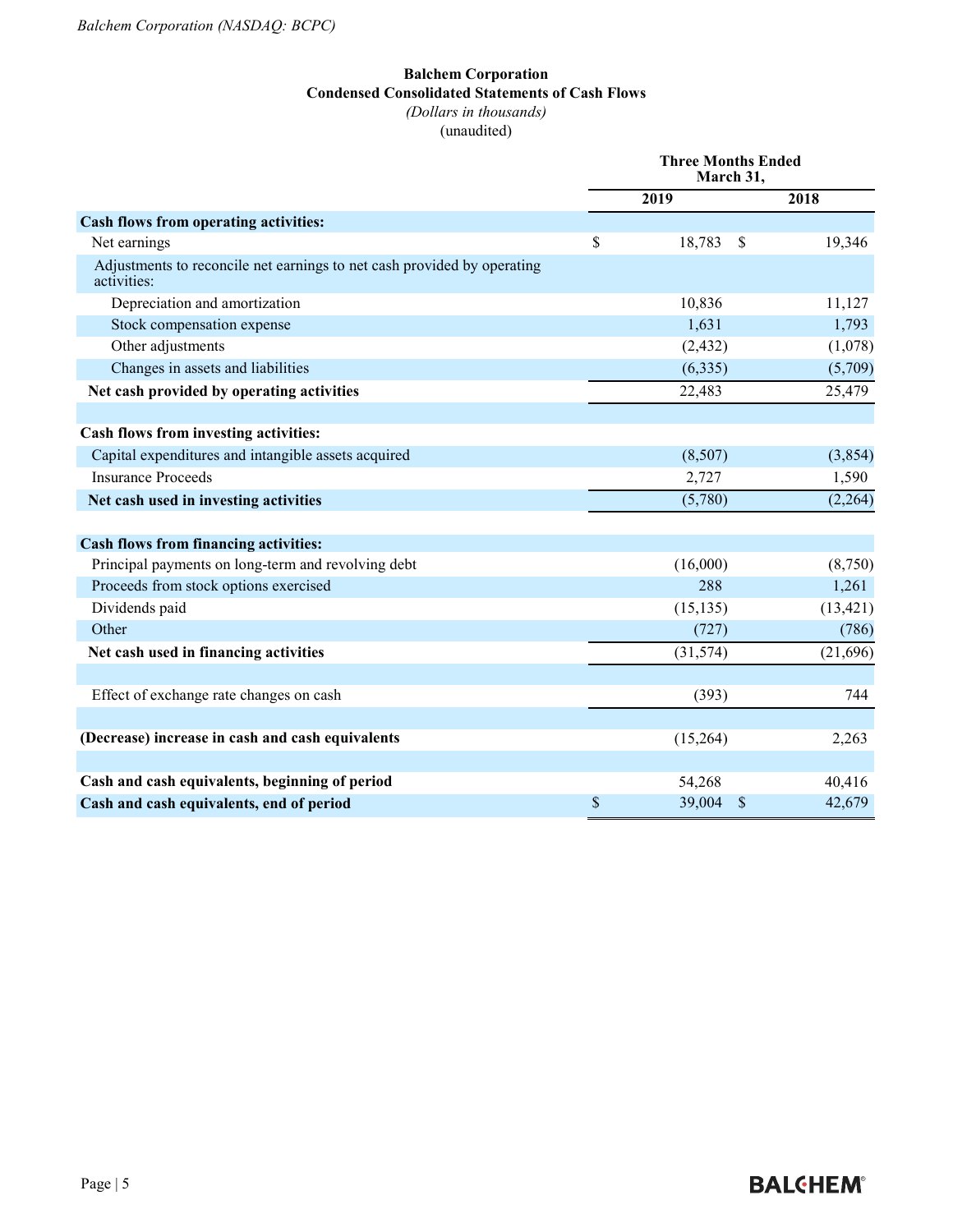#### **Balchem Corporation Condensed Consolidated Statements of Cash Flows** *(Dollars in thousands)* (unaudited)

|                                                                                        | <b>Three Months Ended</b><br>March 31, |                         |           |  |
|----------------------------------------------------------------------------------------|----------------------------------------|-------------------------|-----------|--|
|                                                                                        |                                        | 2019                    | 2018      |  |
| Cash flows from operating activities:                                                  |                                        |                         |           |  |
| Net earnings                                                                           | \$                                     | 18,783<br>-\$           | 19,346    |  |
| Adjustments to reconcile net earnings to net cash provided by operating<br>activities: |                                        |                         |           |  |
| Depreciation and amortization                                                          |                                        | 10,836                  | 11,127    |  |
| Stock compensation expense                                                             |                                        | 1,631                   | 1,793     |  |
| Other adjustments                                                                      |                                        | (2, 432)                | (1,078)   |  |
| Changes in assets and liabilities                                                      |                                        | (6, 335)                | (5,709)   |  |
| Net cash provided by operating activities                                              |                                        | 22,483                  | 25,479    |  |
|                                                                                        |                                        |                         |           |  |
| Cash flows from investing activities:                                                  |                                        |                         |           |  |
| Capital expenditures and intangible assets acquired                                    |                                        | (8,507)                 | (3,854)   |  |
| <b>Insurance Proceeds</b>                                                              |                                        | 2,727                   | 1,590     |  |
| Net cash used in investing activities                                                  |                                        | (5,780)                 | (2,264)   |  |
| <b>Cash flows from financing activities:</b>                                           |                                        |                         |           |  |
| Principal payments on long-term and revolving debt                                     |                                        | (16,000)                | (8,750)   |  |
| Proceeds from stock options exercised                                                  |                                        | 288                     | 1,261     |  |
| Dividends paid                                                                         |                                        | (15, 135)               | (13, 421) |  |
| Other                                                                                  |                                        | (727)                   | (786)     |  |
| Net cash used in financing activities                                                  |                                        | (31, 574)               | (21,696)  |  |
|                                                                                        |                                        |                         |           |  |
| Effect of exchange rate changes on cash                                                |                                        | (393)                   | 744       |  |
|                                                                                        |                                        |                         |           |  |
| (Decrease) increase in cash and cash equivalents                                       |                                        | (15,264)                | 2,263     |  |
|                                                                                        |                                        |                         |           |  |
| Cash and cash equivalents, beginning of period                                         |                                        | 54,268                  | 40,416    |  |
| Cash and cash equivalents, end of period                                               | \$                                     | 39,004<br><sup>\$</sup> | 42,679    |  |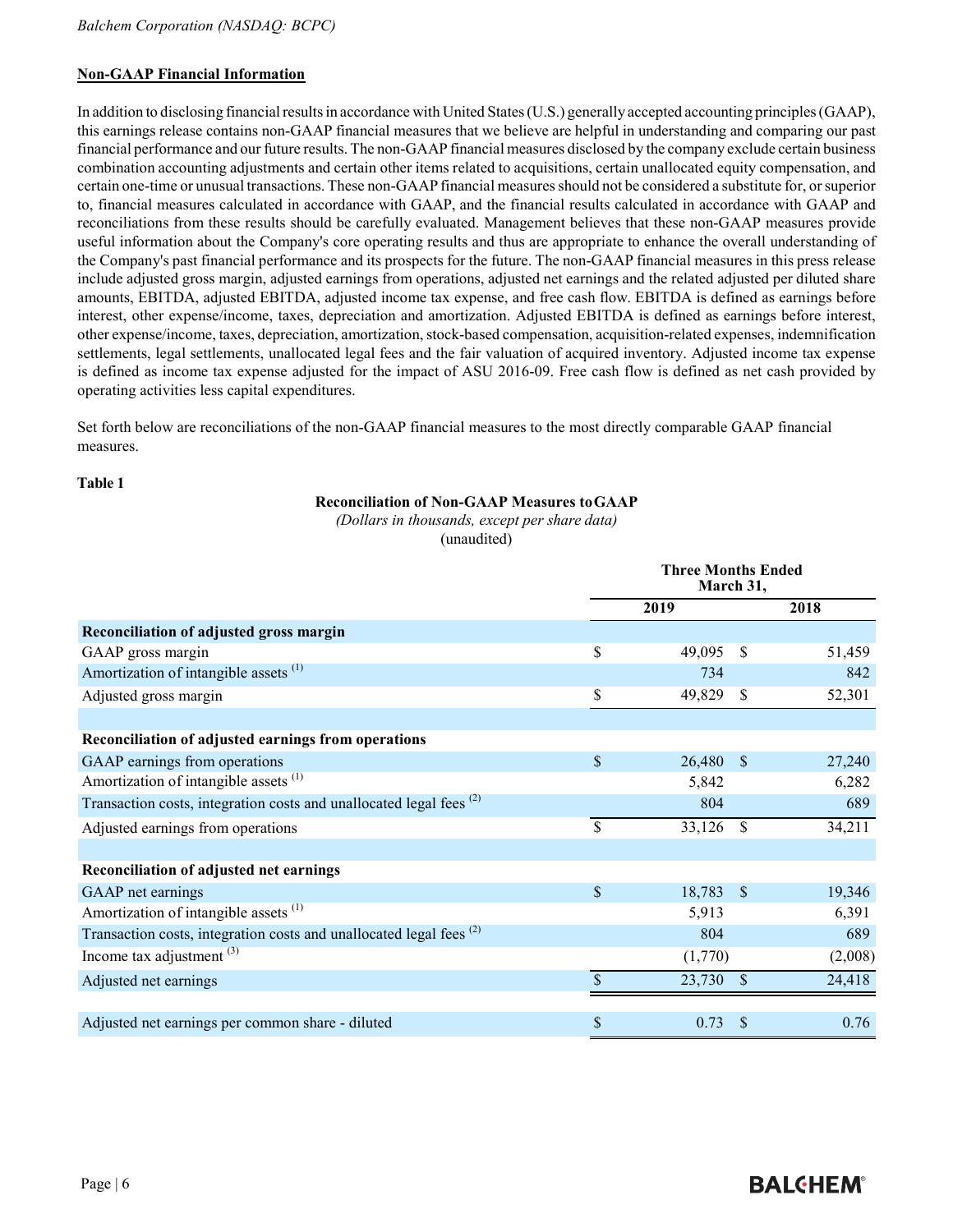### **Non-GAAP Financial Information**

In addition to disclosing financial results in accordance with United States (U.S.) generally accepted accounting principles (GAAP), this earnings release contains non-GAAP financial measures that we believe are helpful in understanding and comparing our past financial performance and our future results. The non-GAAP financial measures disclosed by the company exclude certain business combination accounting adjustments and certain other items related to acquisitions, certain unallocated equity compensation, and certain one-time or unusual transactions. These non-GAAP financial measuresshould not be considered a substitute for, orsuperior to, financial measures calculated in accordance with GAAP, and the financial results calculated in accordance with GAAP and reconciliations from these results should be carefully evaluated. Management believes that these non-GAAP measures provide useful information about the Company's core operating results and thus are appropriate to enhance the overall understanding of the Company's past financial performance and its prospects for the future. The non-GAAP financial measures in this press release include adjusted gross margin, adjusted earnings from operations, adjusted net earnings and the related adjusted per diluted share amounts, EBITDA, adjusted EBITDA, adjusted income tax expense, and free cash flow. EBITDA is defined as earnings before interest, other expense/income, taxes, depreciation and amortization. Adjusted EBITDA is defined as earnings before interest, other expense/income, taxes, depreciation, amortization, stock-based compensation, acquisition-related expenses, indemnification settlements, legal settlements, unallocated legal fees and the fair valuation of acquired inventory. Adjusted income tax expense is defined as income tax expense adjusted for the impact of ASU 2016-09. Free cash flow is defined as net cash provided by operating activities less capital expenditures.

Set forth below are reconciliations of the non-GAAP financial measures to the most directly comparable GAAP financial measures.

#### **Table 1**

#### **Reconciliation of Non-GAAP Measures toGAAP**

*(Dollars in thousands, except per share data)*  (unaudited)

|                                                                                | <b>Three Months Ended</b><br>March 31, |         |               |         |
|--------------------------------------------------------------------------------|----------------------------------------|---------|---------------|---------|
|                                                                                |                                        | 2019    | 2018          |         |
| Reconciliation of adjusted gross margin                                        |                                        |         |               |         |
| GAAP gross margin                                                              | \$                                     | 49,095  | $\mathcal{S}$ | 51,459  |
| Amortization of intangible assets <sup>(1)</sup>                               |                                        | 734     |               | 842     |
| Adjusted gross margin                                                          | \$                                     | 49,829  | <sup>\$</sup> | 52,301  |
|                                                                                |                                        |         |               |         |
| Reconciliation of adjusted earnings from operations                            |                                        |         |               |         |
| GAAP earnings from operations                                                  | \$                                     | 26,480  | $\mathbf{\$}$ | 27,240  |
| Amortization of intangible assets <sup>(1)</sup>                               |                                        | 5,842   |               | 6,282   |
| Transaction costs, integration costs and unallocated legal fees <sup>(2)</sup> |                                        | 804     |               | 689     |
| Adjusted earnings from operations                                              | \$                                     | 33,126  | <sup>\$</sup> | 34,211  |
|                                                                                |                                        |         |               |         |
| Reconciliation of adjusted net earnings                                        |                                        |         |               |         |
| GAAP net earnings                                                              | \$                                     | 18,783  | <sup>\$</sup> | 19,346  |
| Amortization of intangible assets <sup>(1)</sup>                               |                                        | 5,913   |               | 6,391   |
| Transaction costs, integration costs and unallocated legal fees <sup>(2)</sup> |                                        | 804     |               | 689     |
| Income tax adjustment <sup>(3)</sup>                                           |                                        | (1,770) |               | (2,008) |
| Adjusted net earnings                                                          | \$                                     | 23,730  | $\mathbb{S}$  | 24,418  |
|                                                                                |                                        |         |               |         |
| Adjusted net earnings per common share - diluted                               | \$                                     | 0.73    | <sup>\$</sup> | 0.76    |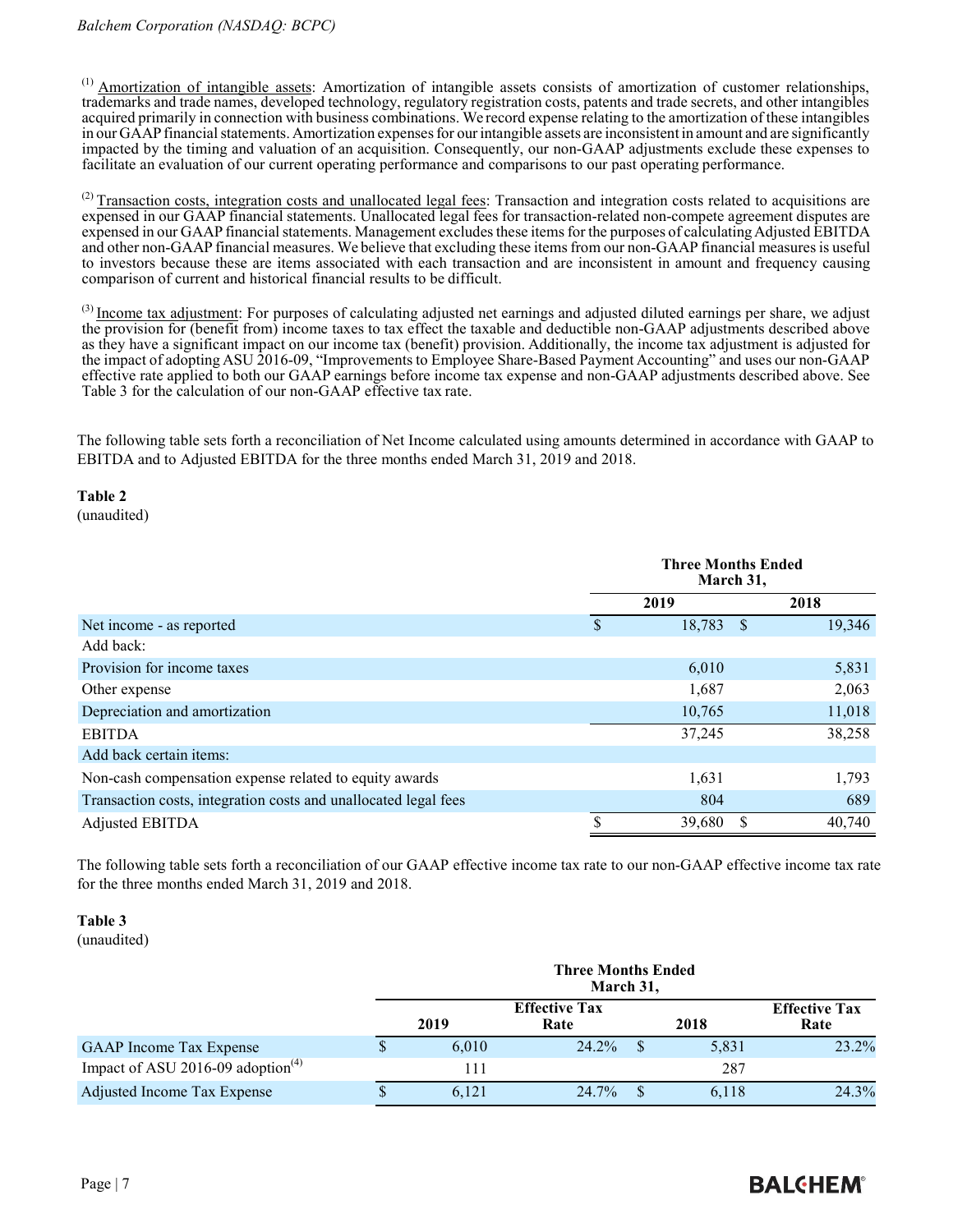<sup>(1)</sup> Amortization of intangible assets: Amortization of intangible assets consists of amortization of customer relationships, trademarks and trade names, developed technology, regulatory registration costs, patents and trade secrets, and other intangibles acquired primarily in connection with business combinations. We record expense relating to the amortization of these intangibles in our GAAP financial statements. Amortization expenses for our intangible assets are inconsistent in amount and are significantly impacted by the timing and valuation of an acquisition. Consequently, our non-GAAP adjustments exclude these expenses to facilitate an evaluation of our current operating performance and comparisons to our past operating performance.

 $^{(2)}$  Transaction costs, integration costs and unallocated legal fees: Transaction and integration costs related to acquisitions are expensed in our GAAP financial statements. Unallocated legal fees for transaction-related non-compete agreement disputes are expensed in our GAAP financial statements. Management excludes these items for the purposes of calculating Adjusted EBITDA and other non-GAAP financial measures. We believe that excluding these items from our non-GAAP financial measures is useful to investors because these are items associated with each transaction and are inconsistent in amount and frequency causing comparison of current and historical financial results to be difficult.

<sup>(3)</sup> Income tax adjustment: For purposes of calculating adjusted net earnings and adjusted diluted earnings per share, we adjust the provision for (benefit from) income taxes to tax effect the taxable and deductible non-GAAP adjustments described above as they have a significant impact on our income tax (benefit) provision. Additionally, the income tax adjustment is adjusted for the impact of adopting ASU 2016-09, "Improvements to Employee Share-Based Payment Accounting" and uses our non-GAAP effective rate applied to both our GAAP earnings before income tax expense and non-GAAP adjustments described above. See Table 3 for the calculation of our non-GAAP effective tax rate.

The following table sets forth a reconciliation of Net Income calculated using amounts determined in accordance with GAAP to EBITDA and to Adjusted EBITDA for the three months ended March 31, 2019 and 2018.

**Table 2** (unaudited)

|                                                                 | <b>Three Months Ended</b><br>March 31, |  |        |  |
|-----------------------------------------------------------------|----------------------------------------|--|--------|--|
|                                                                 | 2019                                   |  | 2018   |  |
| Net income - as reported                                        | 18,783 \$                              |  | 19,346 |  |
| Add back:                                                       |                                        |  |        |  |
| Provision for income taxes                                      | 6,010                                  |  | 5,831  |  |
| Other expense                                                   | 1,687                                  |  | 2,063  |  |
| Depreciation and amortization                                   | 10,765                                 |  | 11,018 |  |
| <b>EBITDA</b>                                                   | 37,245                                 |  | 38,258 |  |
| Add back certain items:                                         |                                        |  |        |  |
| Non-cash compensation expense related to equity awards          | 1,631                                  |  | 1,793  |  |
| Transaction costs, integration costs and unallocated legal fees | 804                                    |  | 689    |  |
| Adjusted EBITDA                                                 | \$<br>39,680                           |  | 40,740 |  |

The following table sets forth a reconciliation of our GAAP effective income tax rate to our non-GAAP effective income tax rate for the three months ended March 31, 2019 and 2018.

## **Table 3**

(unaudited)

|                                      |   | <b>Three Months Ended</b><br>March 31, |                              |  |       |                              |
|--------------------------------------|---|----------------------------------------|------------------------------|--|-------|------------------------------|
|                                      |   | 2019                                   | <b>Effective Tax</b><br>Rate |  | 2018  | <b>Effective Tax</b><br>Rate |
| <b>GAAP</b> Income Tax Expense       |   | 6.010                                  | 24.2%                        |  | 5,831 | 23.2%                        |
| Impact of ASU 2016-09 adoption $(4)$ |   | 111                                    |                              |  | 287   |                              |
| Adjusted Income Tax Expense          | Φ | 6.121                                  | 24.7%                        |  | 6.118 | 24.3%                        |